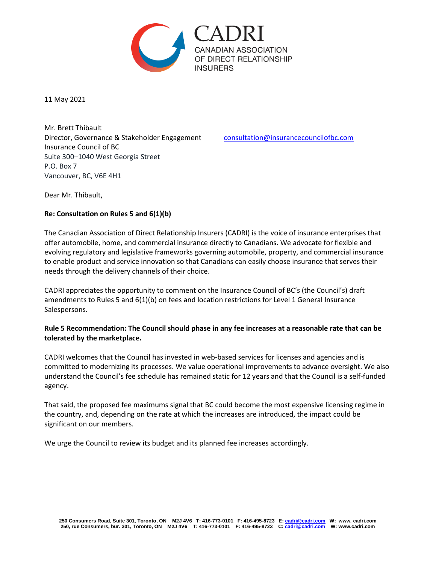

11 May 2021

Mr. Brett Thibault Director, Governance & Stakeholder Engagement [consultation@insurancecouncilofbc.com](mailto:consultation@insurancecouncilofbc.com) Insurance Council of BC Suite 300–1040 West Georgia Street P.O. Box 7 Vancouver, BC, V6E 4H1

Dear Mr. Thibault,

## **Re: Consultation on Rules 5 and 6(1)(b)**

The Canadian Association of Direct Relationship Insurers (CADRI) is the voice of insurance enterprises that offer automobile, home, and commercial insurance directly to Canadians. We advocate for flexible and evolving regulatory and legislative frameworks governing automobile, property, and commercial insurance to enable product and service innovation so that Canadians can easily choose insurance that serves their needs through the delivery channels of their choice.

CADRI appreciates the opportunity to comment on the Insurance Council of BC's (the Council's) draft amendments to Rules 5 and 6(1)(b) on fees and location restrictions for Level 1 General Insurance Salespersons.

## **Rule 5 Recommendation: The Council should phase in any fee increases at a reasonable rate that can be tolerated by the marketplace.**

CADRI welcomes that the Council has invested in web-based services for licenses and agencies and is committed to modernizing its processes. We value operational improvements to advance oversight. We also understand the Council's fee schedule has remained static for 12 years and that the Council is a self-funded agency.

That said, the proposed fee maximums signal that BC could become the most expensive licensing regime in the country, and, depending on the rate at which the increases are introduced, the impact could be significant on our members.

We urge the Council to review its budget and its planned fee increases accordingly.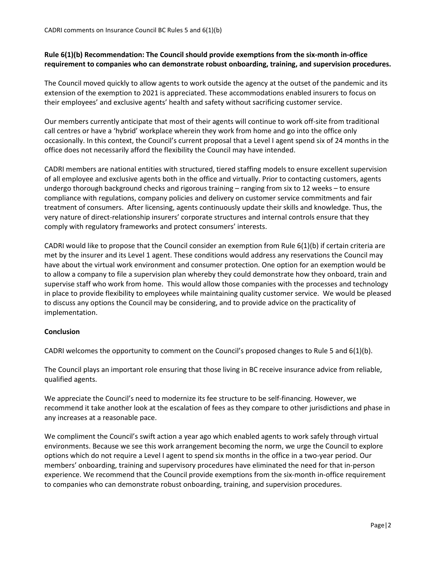## **Rule 6(1)(b) Recommendation: The Council should provide exemptions from the six-month in-office requirement to companies who can demonstrate robust onboarding, training, and supervision procedures.**

The Council moved quickly to allow agents to work outside the agency at the outset of the pandemic and its extension of the exemption to 2021 is appreciated. These accommodations enabled insurers to focus on their employees' and exclusive agents' health and safety without sacrificing customer service.

Our members currently anticipate that most of their agents will continue to work off-site from traditional call centres or have a 'hybrid' workplace wherein they work from home and go into the office only occasionally. In this context, the Council's current proposal that a Level I agent spend six of 24 months in the office does not necessarily afford the flexibility the Council may have intended.

CADRI members are national entities with structured, tiered staffing models to ensure excellent supervision of all employee and exclusive agents both in the office and virtually. Prior to contacting customers, agents undergo thorough background checks and rigorous training – ranging from six to 12 weeks – to ensure compliance with regulations, company policies and delivery on customer service commitments and fair treatment of consumers.After licensing, agents continuously update their skills and knowledge. Thus, the very nature of direct-relationship insurers' corporate structures and internal controls ensure that they comply with regulatory frameworks and protect consumers' interests.

CADRI would like to propose that the Council consider an exemption from Rule 6(1)(b) if certain criteria are met by the insurer and its Level 1 agent. These conditions would address any reservations the Council may have about the virtual work environment and consumer protection. One option for an exemption would be to allow a company to file a supervision plan whereby they could demonstrate how they onboard, train and supervise staff who work from home. This would allow those companies with the processes and technology in place to provide flexibility to employees while maintaining quality customer service. We would be pleased to discuss any options the Council may be considering, and to provide advice on the practicality of implementation.

## **Conclusion**

CADRI welcomes the opportunity to comment on the Council's proposed changes to Rule 5 and 6(1)(b).

The Council plays an important role ensuring that those living in BC receive insurance advice from reliable, qualified agents.

We appreciate the Council's need to modernize its fee structure to be self-financing. However, we recommend it take another look at the escalation of fees as they compare to other jurisdictions and phase in any increases at a reasonable pace.

We compliment the Council's swift action a year ago which enabled agents to work safely through virtual environments. Because we see this work arrangement becoming the norm, we urge the Council to explore options which do not require a Level I agent to spend six months in the office in a two-year period. Our members' onboarding, training and supervisory procedures have eliminated the need for that in-person experience. We recommend that the Council provide exemptions from the six-month in-office requirement to companies who can demonstrate robust onboarding, training, and supervision procedures.